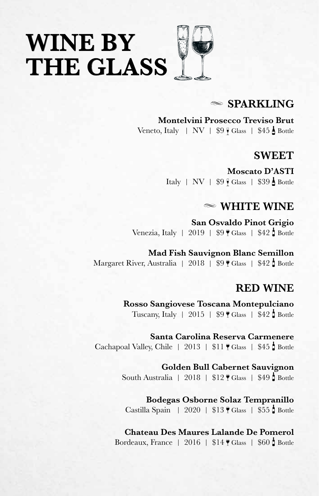# **WINE BY THE GLASS**

# **SPARKLING**

**Montelvini Prosecco Treviso Brut** Veneto, Italy | NV |  $$9 \sqrt{G}$ lass |  $$45 \frac{1}{2}$  Bottle

# **SWEET**

**Moscato D'ASTI** Italy | NV |  $$9 \sqrt{G}$  Glass |  $$39 \triangleleft$  Bottle

# **WHITE WINE**

**San Osvaldo Pinot Grigio** Venezia, Italy | 2019 |  $$9$   $\blacktriangleright$  Glass |  $$42$   $\blacktriangle$  Bottle

**Mad Fish Sauvignon Blanc Semillon** Margaret River, Australia | 2018 | \$9 F Glass | \$42 Bottle

# **RED WINE**

**Rosso Sangiovese Toscana Montepulciano** Tuscany, Italy | 2015 |  $$9$   $\sqrt{}$  Glass |  $$42$  Bottle

**Santa Carolina Reserva Carmenere** Cachapoal Valley, Chile | 2013 |  $$11$   $\sqrt{}$  Glass |  $$45$   $\sqrt{}$  Bottle

> **Golden Bull Cabernet Sauvignon** South Australia | 2018 |  $$12 \space \blacktriangleright \space$  Glass |  $$49 \space \blacktriangle$  Bottle

**Bodegas Osborne Solaz Tempranillo** Castilla Spain | 2020 | \$13  $\sqrt{$  Glass | \$55  $\sqrt{ }$  Bottle

**Chateau Des Maures Lalande De Pomerol** Bordeaux, France | 2016 |  $$14$   $$$  Glass |  $$60$   $$$  Bottle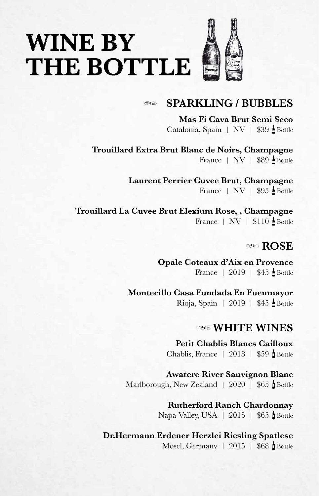### **SPARKLING / BUBBLES**  $\infty$

**Mas Fi Cava Brut Semi Seco** Catalonia, Spain | NV | \$39 Bottle

**Trouillard Extra Brut Blanc de Noirs, Champagne** France | NV | \$89 Bottle

> **Laurent Perrier Cuvee Brut, Champagne** France | NV | \$95 Bottle

**Trouillard La Cuvee Brut Elexium Rose, , Champagne**  France  $| NV | $110$  Bottle

### **ROSE**

**Opale Coteaux d'Aix en Provence** France | 2019 | \$45 Bottle

**Montecillo Casa Fundada En Fuenmayor** Rioja, Spain | 2019 | \$45 Bottle

### **WHITE WINES**

**Petit Chablis Blancs Cailloux** Chablis, France  $\parallel$  2018  $\parallel$  \$59  $\parallel$  Bottle

**Awatere River Sauvignon Blanc** Marlborough, New Zealand | 2020 | \$65 Bottle

> **Rutherford Ranch Chardonnay** Napa Valley, USA | 2015 | \$65 Bottle

**Dr.Hermann Erdener Herzlei Riesling Spatlese** Mosel, Germany | 2015 |  $$68$  Bottle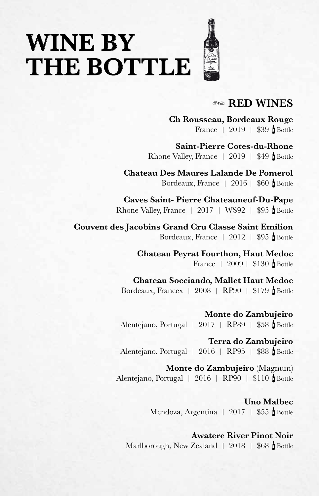

### **RED WINES**

**Ch Rousseau, Bordeaux Rouge** France | 2019 | \$39 Bottle

**Saint-Pierre Cotes-du-Rhone** Rhone Valley, France  $\parallel$  2019  $\parallel$  \$49  $\stackrel{1}{\parallel}$  Bottle

**Chateau Des Maures Lalande De Pomerol** Bordeaux, France | 2016 |  $$60$  Bottle

**Caves Saint- Pierre Chateauneuf-Du-Pape** Rhone Valley, France  $\parallel$  2017  $\parallel$  WS92  $\parallel$  \$95  $\parallel$  Bottle

**Couvent des Jacobins Grand Cru Classe Saint Emilion** Bordeaux, France  $\parallel$  2012  $\parallel$  \$95  $\parallel$  Bottle

> **Chateau Peyrat Fourthon, Haut Medoc** France | 2009 | \$130 Bottle

**Chateau Socciando, Mallet Haut Medoc**  Bordeaux, Francex | 2008 | RP90 |  $$179$  Bottle

**Monte do Zambujeiro** Alentejano, Portugal | 2017 | RP89 | \$58 Bottle

**Terra do Zambujeiro** Alentejano, Portugal | 2016 | RP95 | \$88 Bottle

**Monte do Zambujeiro** (Magnum) Alentejano, Portugal | 2016 | RP90 | \$110 Bottle

> **Uno Malbec** Mendoza, Argentina | 2017 | \$55 Bottle

**Awatere River Pinot Noir** Marlborough, New Zealand  $\parallel$  2018  $\parallel$  \$68  $\parallel$  Bottle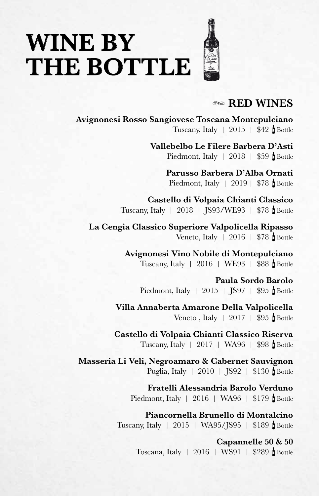

## **RED WINES**

**Avignonesi Rosso Sangiovese Toscana Montepulciano** Tuscany, Italy | 2015 |  $$42$  Bottle

> **Vallebelbo Le Filere Barbera D'Asti** Piedmont, Italy | 2018 | \$59 <u>d</u> Bottle

> > **Parusso Barbera D'Alba Ornati** Piedmont, Italy | 2019 |  $$78$  Bottle

**Castello di Volpaia Chianti Classico** Tuscany, Italy | 2018 | JS93/WE93 | \$78 Bottle

**La Cengia Classico Superiore Valpolicella Ripasso** Veneto, Italy | 2016 |  $$78$  Bottle

> **Avignonesi Vino Nobile di Montepulciano** Tuscany, Italy | 2016 | WE93 | \$88 <u>d</u> Bottle

**Paula Sordo Barolo** Piedmont, Italy | 2015 | JS97 | \$95 Bottle

**Villa Annaberta Amarone Della Valpolicella** Veneto , Italy | 2017 | \$95 Bottle

**Castello di Volpaia Chianti Classico Riserva** Tuscany, Italy | 2017 | WA96 | \$98 Bottle

**Masseria Li Veli, Negroamaro & Cabernet Sauvignon** Puglia, Italy | 2010 | IS92 | \$130 Bottle

> **Fratelli Alessandria Barolo Verduno** Piedmont, Italy | 2016 | WA96 |  $$179$  Bottle

**Piancornella Brunello di Montalcino** Tuscany, Italy | 2015 | WA95/JS95 | \$189 Bottle

> **Capannelle 50 & 50** Toscana, Italy | 2016 | WS91 | \$289 Bottle